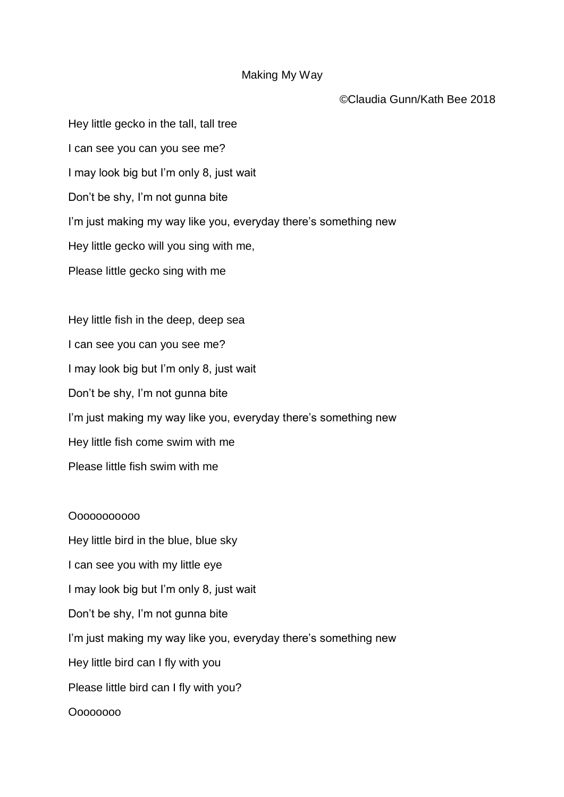## Making My Way

©Claudia Gunn/Kath Bee 2018

Hey little gecko in the tall, tall tree I can see you can you see me? I may look big but I'm only 8, just wait Don't be shy, I'm not gunna bite I'm just making my way like you, everyday there's something new Hey little gecko will you sing with me, Please little gecko sing with me

Hey little fish in the deep, deep sea I can see you can you see me? I may look big but I'm only 8, just wait Don't be shy, I'm not gunna bite I'm just making my way like you, everyday there's something new Hey little fish come swim with me Please little fish swim with me

Ooooooooooo

Hey little bird in the blue, blue sky I can see you with my little eye I may look big but I'm only 8, just wait Don't be shy, I'm not gunna bite I'm just making my way like you, everyday there's something new Hey little bird can I fly with you Please little bird can I fly with you? Oooooooo